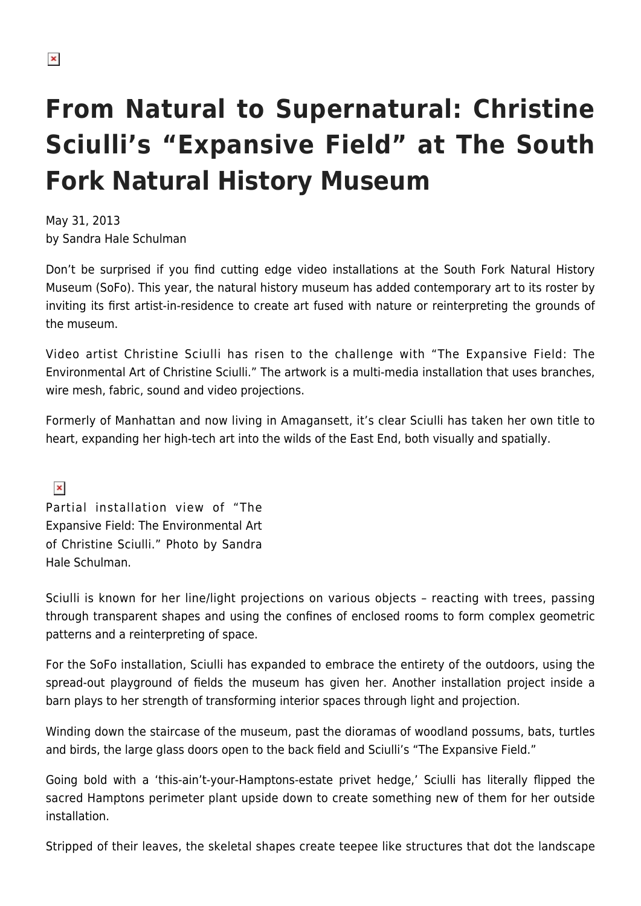## **From Natural to Supernatural: Christine Sciulli's "Expansive Field" at The South Fork Natural History Museum**

May 31, 2013 by Sandra Hale Schulman

Don't be surprised if you find cutting edge video installations at the South Fork Natural History Museum (SoFo). This year, the natural history museum has added contemporary art to its roster by inviting its first artist-in-residence to create art fused with nature or reinterpreting the grounds of the museum.

Video artist Christine Sciulli has risen to the challenge with "The Expansive Field: The Environmental Art of Christine Sciulli." The artwork is a multi-media installation that uses branches, wire mesh, fabric, sound and video projections.

Formerly of Manhattan and now living in Amagansett, it's clear Sciulli has taken her own title to heart, expanding her high-tech art into the wilds of the East End, both visually and spatially.

 $\pmb{\times}$ Partial installation view of "The Expansive Field: The Environmental Art of Christine Sciulli." Photo by Sandra Hale Schulman.

Sciulli is known for her line/light projections on various objects – reacting with trees, passing through transparent shapes and using the confines of enclosed rooms to form complex geometric patterns and a reinterpreting of space.

For the SoFo installation, Sciulli has expanded to embrace the entirety of the outdoors, using the spread-out playground of fields the museum has given her. Another installation project inside a barn plays to her strength of transforming interior spaces through light and projection.

Winding down the staircase of the museum, past the dioramas of woodland possums, bats, turtles and birds, the large glass doors open to the back field and Sciulli's "The Expansive Field."

Going bold with a 'this-ain't-your-Hamptons-estate privet hedge,' Sciulli has literally flipped the sacred Hamptons perimeter plant upside down to create something new of them for her outside installation.

Stripped of their leaves, the skeletal shapes create teepee like structures that dot the landscape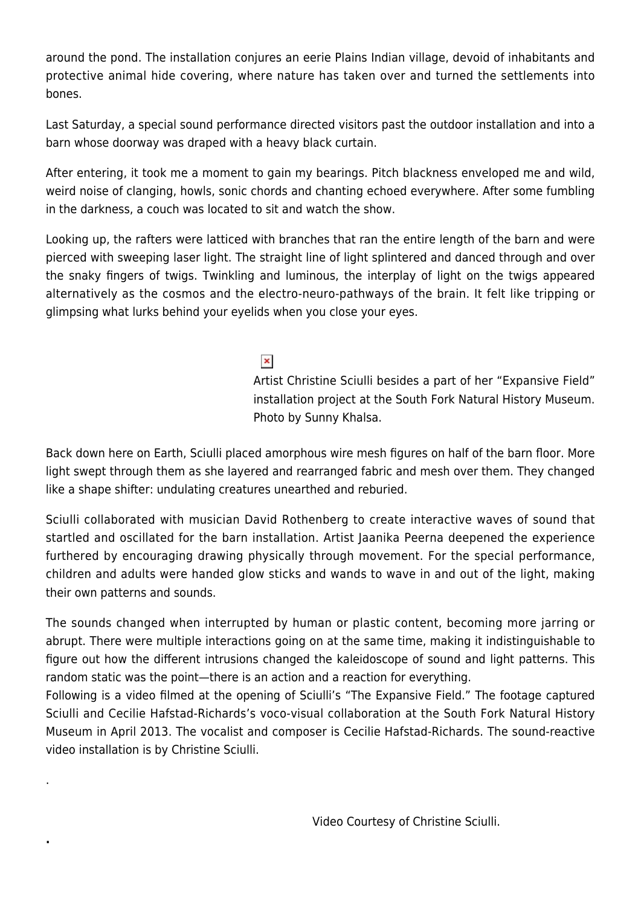around the pond. The installation conjures an eerie Plains Indian village, devoid of inhabitants and protective animal hide covering, where nature has taken over and turned the settlements into bones.

Last Saturday, a special sound performance directed visitors past the outdoor installation and into a barn whose doorway was draped with a heavy black curtain.

After entering, it took me a moment to gain my bearings. Pitch blackness enveloped me and wild, weird noise of clanging, howls, sonic chords and chanting echoed everywhere. After some fumbling in the darkness, a couch was located to sit and watch the show.

Looking up, the rafters were latticed with branches that ran the entire length of the barn and were pierced with sweeping laser light. The straight line of light splintered and danced through and over the snaky fingers of twigs. Twinkling and luminous, the interplay of light on the twigs appeared alternatively as the cosmos and the electro-neuro-pathways of the brain. It felt like tripping or glimpsing what lurks behind your eyelids when you close your eyes.

 $\pmb{\times}$ 

Artist Christine Sciulli besides a part of her "Expansive Field" installation project at the South Fork Natural History Museum. Photo by Sunny Khalsa.

Back down here on Earth, Sciulli placed amorphous wire mesh figures on half of the barn floor. More light swept through them as she layered and rearranged fabric and mesh over them. They changed like a shape shifter: undulating creatures unearthed and reburied.

Sciulli collaborated with musician David Rothenberg to create interactive waves of sound that startled and oscillated for the barn installation. Artist Jaanika Peerna deepened the experience furthered by encouraging drawing physically through movement. For the special performance, children and adults were handed glow sticks and wands to wave in and out of the light, making their own patterns and sounds.

The sounds changed when interrupted by human or plastic content, becoming more jarring or abrupt. There were multiple interactions going on at the same time, making it indistinguishable to figure out how the different intrusions changed the kaleidoscope of sound and light patterns. This random static was the point—there is an action and a reaction for everything.

Following is a video filmed at the opening of Sciulli's "The Expansive Field." The footage captured Sciulli and Cecilie Hafstad-Richards's voco-visual collaboration at the South Fork Natural History Museum in April 2013. The vocalist and composer is Cecilie Hafstad-Richards. The sound-reactive video installation is by Christine Sciulli.

.

**.**